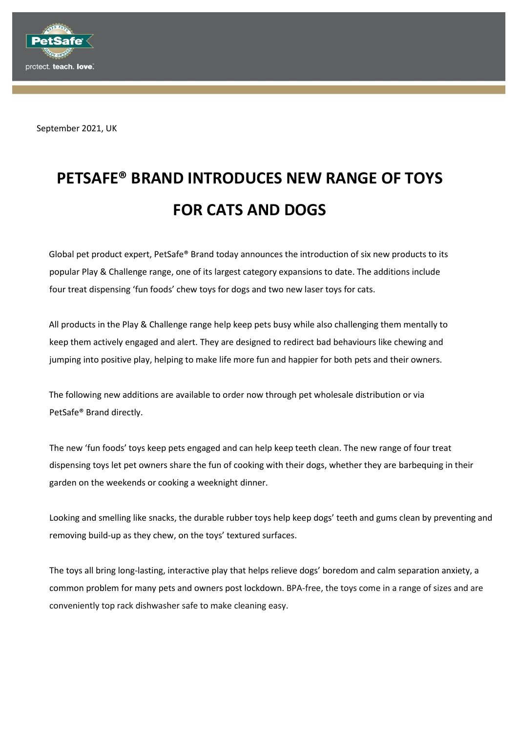

September 2021, UK

# **PETSAFE® BRAND INTRODUCES NEW RANGE OF TOYS FOR CATS AND DOGS**

Global pet product expert, PetSafe® Brand today announces the introduction of six new products to its popular Play & Challenge range, one of its largest category expansions to date. The additions include four treat dispensing 'fun foods' chew toys for dogs and two new laser toys for cats.

All products in the Play & Challenge range help keep pets busy while also challenging them mentally to keep them actively engaged and alert. They are designed to redirect bad behaviours like chewing and jumping into positive play, helping to make life more fun and happier for both pets and their owners.

The following new additions are available to order now through pet wholesale distribution or via PetSafe® Brand directly.

The new 'fun foods' toys keep pets engaged and can help keep teeth clean. The new range of four treat dispensing toys let pet owners share the fun of cooking with their dogs, whether they are barbequing in their garden on the weekends or cooking a weeknight dinner.

Looking and smelling like snacks, the durable rubber toys help keep dogs' teeth and gums clean by preventing and removing build-up as they chew, on the toys' textured surfaces.

The toys all bring long-lasting, interactive play that helps relieve dogs' boredom and calm separation anxiety, a common problem for many pets and owners post lockdown. BPA-free, the toys come in a range of sizes and are conveniently top rack dishwasher safe to make cleaning easy.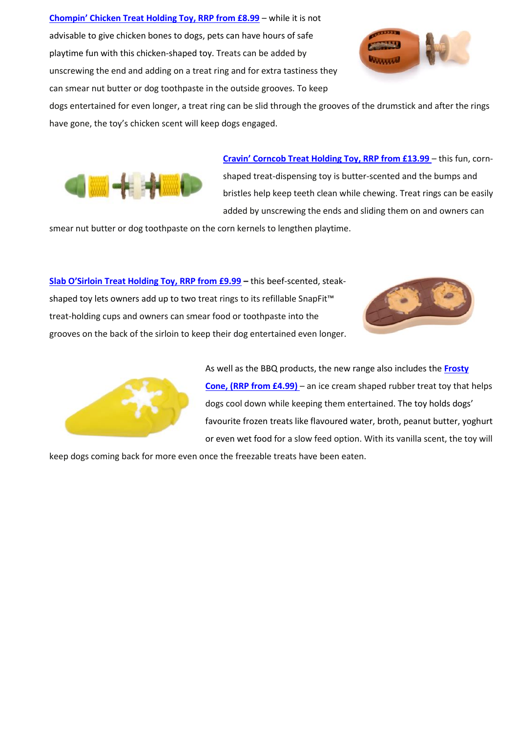**[Chompin' Chicken Treat Holding Toy, RRP from £8.99](https://uk.petsafe.net/collections/treat-dispensing-dog-toys/products/chicken-treat-ring-holding-toy)** – while it is not advisable to give chicken bones to dogs, pets can have hours of safe playtime fun with this chicken-shaped toy. Treats can be added by unscrewing the end and adding on a treat ring and for extra tastiness they can smear nut butter or dog toothpaste in the outside grooves. To keep



dogs entertained for even longer, a treat ring can be slid through the grooves of the drumstick and after the rings have gone, the toy's chicken scent will keep dogs engaged.



**[Cravin' Corncob Treat Holding Toy, RRP from £13.99](https://uk.petsafe.net/collections/treat-dispensing-dog-toys/products/corn-treat-ring-holding-toy)** – this fun, cornshaped treat-dispensing toy is butter-scented and the bumps and bristles help keep teeth clean while chewing. Treat rings can be easily added by unscrewing the ends and sliding them on and owners can

smear nut butter or dog toothpaste on the corn kernels to lengthen playtime.

**[Slab O'Sirloin Treat Holding Toy, RRP from £9.99](https://uk.petsafe.net/collections/treat-dispensing-dog-toys/products/treat-ring-holding-toy-steak) –** this beef-scented, steakshaped toy lets owners add up to two treat rings to its refillable SnapFit™ treat-holding cups and owners can smear food or toothpaste into the grooves on the back of the sirloin to keep their dog entertained even longer.





As well as the BBQ products, the new range also includes the **[Frosty](https://uk.petsafe.net/collections/treat-dispensing-dog-toys/products/ice-cream-treat-holding-toy)  [Cone, \(RRP from £4.99\)](https://uk.petsafe.net/collections/treat-dispensing-dog-toys/products/ice-cream-treat-holding-toy)** – an ice cream shaped rubber treat toy that helps dogs cool down while keeping them entertained. The toy holds dogs' favourite frozen treats like flavoured water, broth, peanut butter, yoghurt or even wet food for a slow feed option. With its vanilla scent, the toy will

keep dogs coming back for more even once the freezable treats have been eaten.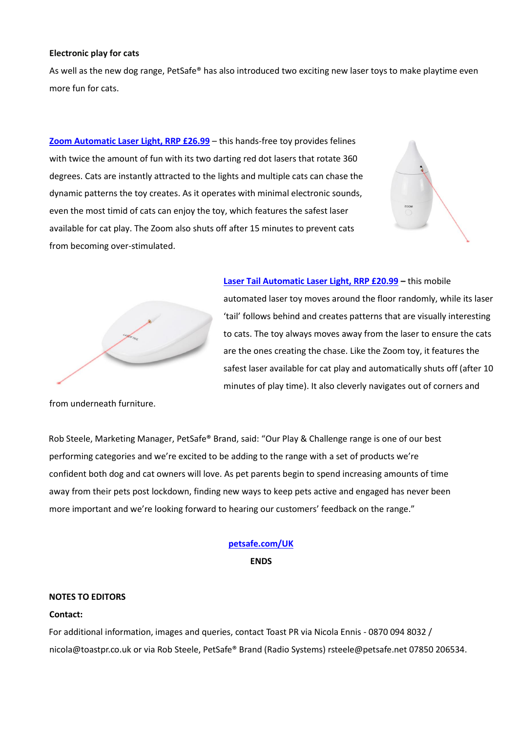### **Electronic play for cats**

As well as the new dog range, PetSafe® has also introduced two exciting new laser toys to make playtime even more fun for cats.

**[Zoom Automatic Laser Light, RRP £26.99](https://uk.petsafe.net/collections/cat-toys/products/zoom-laser-toy)** – this hands-free toy provides felines with twice the amount of fun with its two darting red dot lasers that rotate 360 degrees. Cats are instantly attracted to the lights and multiple cats can chase the dynamic patterns the toy creates. As it operates with minimal electronic sounds, even the most timid of cats can enjoy the toy, which features the safest laser available for cat play. The Zoom also shuts off after 15 minutes to prevent cats from becoming over-stimulated.





**[Laser Tail Automatic Laser Light, RRP £20.99](https://uk.petsafe.net/collections/cat-toys/products/laser-tail-automatic-laser-light) –** this mobile automated laser toy moves around the floor randomly, while its laser 'tail' follows behind and creates patterns that are visually interesting to cats. The toy always moves away from the laser to ensure the cats are the ones creating the chase. Like the Zoom toy, it features the safest laser available for cat play and automatically shuts off (after 10 minutes of play time). It also cleverly navigates out of corners and

from underneath furniture.

Rob Steele, Marketing Manager, PetSafe® Brand, said: "Our Play & Challenge range is one of our best performing categories and we're excited to be adding to the range with a set of products we're confident both dog and cat owners will love. As pet parents begin to spend increasing amounts of time away from their pets post lockdown, finding new ways to keep pets active and engaged has never been more important and we're looking forward to hearing our customers' feedback on the range."

# **[petsafe.com/UK](http://www.petsafe.net/UK)**

**ENDS**

## **NOTES TO EDITORS**

### **Contact:**

For additional information, images and queries, contact Toast PR via Nicola Ennis - 0870 094 8032 / [nicola@toastpr.co.uk](mailto:nicola@toastpr.co.uk) or via Rob Steele, PetSafe® Brand (Radio Systems) [rsteele@petsafe.net](mailto:rsteele@petsafe.net) 07850 206534.